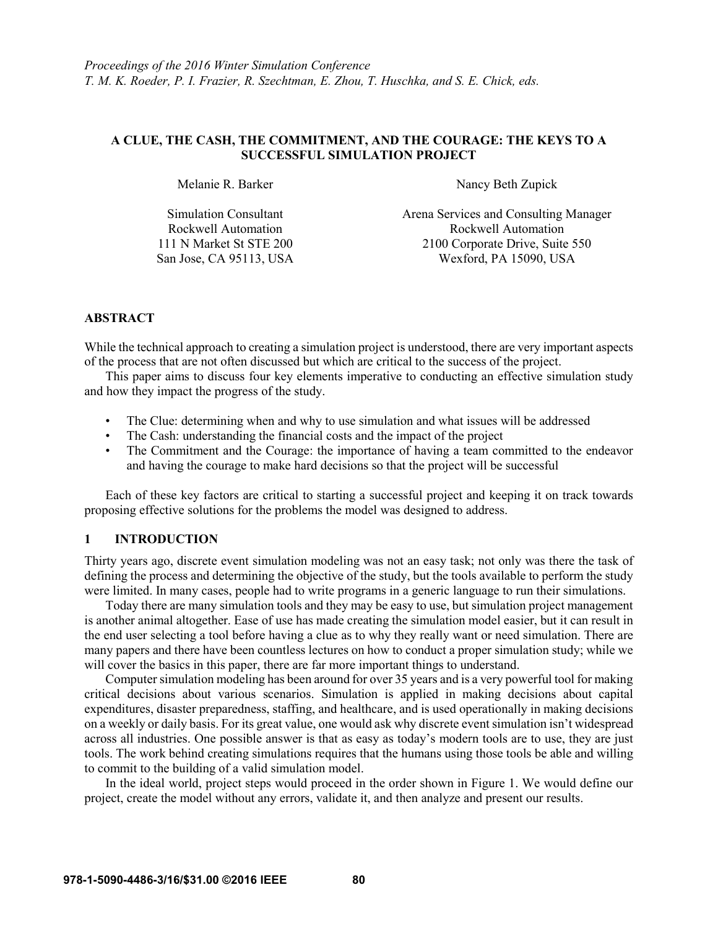## **A CLUE, THE CASH, THE COMMITMENT, AND THE COURAGE: THE KEYS TO A SUCCESSFUL SIMULATION PROJECT**

Melanie R. Barker Nancy Beth Zupick

Rockwell Automation 111 N Market St STE 200

Simulation Consultant Arena Services and Consulting Manager Rockwell Automation 2100 Corporate Drive, Suite 550 San Jose, CA 95113, USA Wexford, PA 15090, USA

## **ABSTRACT**

While the technical approach to creating a simulation project is understood, there are very important aspects of the process that are not often discussed but which are critical to the success of the project.

This paper aims to discuss four key elements imperative to conducting an effective simulation study and how they impact the progress of the study.

- The Clue: determining when and why to use simulation and what issues will be addressed
- The Cash: understanding the financial costs and the impact of the project
- The Commitment and the Courage: the importance of having a team committed to the endeavor and having the courage to make hard decisions so that the project will be successful

Each of these key factors are critical to starting a successful project and keeping it on track towards proposing effective solutions for the problems the model was designed to address.

## **1 INTRODUCTION**

Thirty years ago, discrete event simulation modeling was not an easy task; not only was there the task of defining the process and determining the objective of the study, but the tools available to perform the study were limited. In many cases, people had to write programs in a generic language to run their simulations.

Today there are many simulation tools and they may be easy to use, but simulation project management is another animal altogether. Ease of use has made creating the simulation model easier, but it can result in the end user selecting a tool before having a clue as to why they really want or need simulation. There are many papers and there have been countless lectures on how to conduct a proper simulation study; while we will cover the basics in this paper, there are far more important things to understand.

Computer simulation modeling has been around for over 35 years and is a very powerful tool for making critical decisions about various scenarios. Simulation is applied in making decisions about capital expenditures, disaster preparedness, staffing, and healthcare, and is used operationally in making decisions on a weekly or daily basis. For its great value, one would ask why discrete event simulation isn't widespread across all industries. One possible answer is that as easy as today's modern tools are to use, they are just tools. The work behind creating simulations requires that the humans using those tools be able and willing to commit to the building of a valid simulation model.

In the ideal world, project steps would proceed in the order shown in Figure 1. We would define our project, create the model without any errors, validate it, and then analyze and present our results.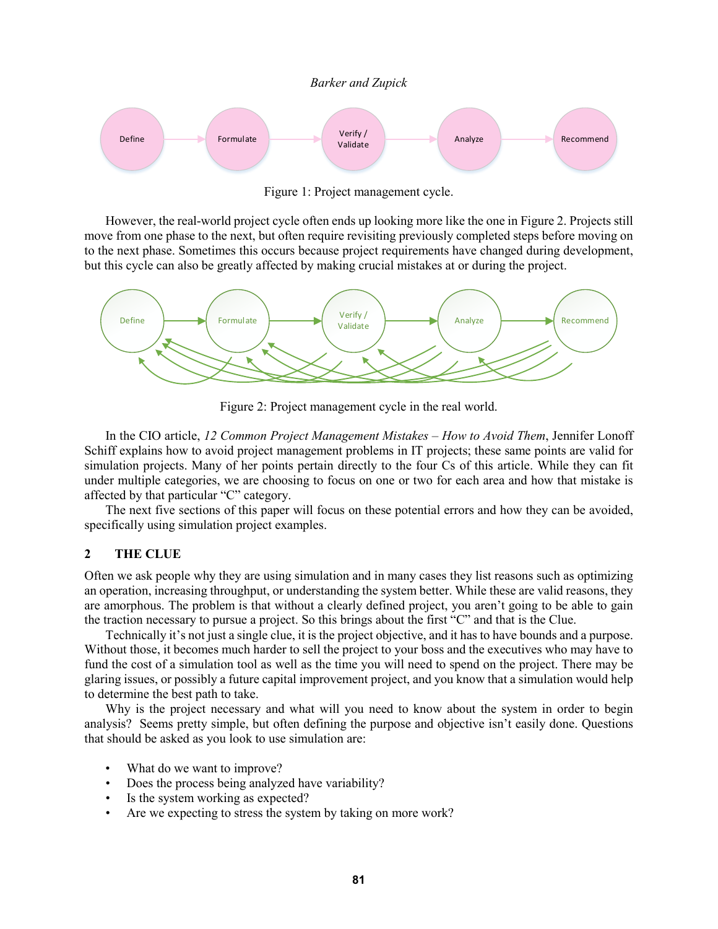

Figure 1: Project management cycle.

However, the real-world project cycle often ends up looking more like the one in Figure 2. Projects still move from one phase to the next, but often require revisiting previously completed steps before moving on to the next phase. Sometimes this occurs because project requirements have changed during development, but this cycle can also be greatly affected by making crucial mistakes at or during the project.



Figure 2: Project management cycle in the real world.

In the CIO article, *12 Common Project Management Mistakes – How to Avoid Them*, Jennifer Lonoff Schiff explains how to avoid project management problems in IT projects; these same points are valid for simulation projects. Many of her points pertain directly to the four Cs of this article. While they can fit under multiple categories, we are choosing to focus on one or two for each area and how that mistake is affected by that particular "C" category.

The next five sections of this paper will focus on these potential errors and how they can be avoided, specifically using simulation project examples.

# **2 THE CLUE**

Often we ask people why they are using simulation and in many cases they list reasons such as optimizing an operation, increasing throughput, or understanding the system better. While these are valid reasons, they are amorphous. The problem is that without a clearly defined project, you aren't going to be able to gain the traction necessary to pursue a project. So this brings about the first "C" and that is the Clue.

Technically it's not just a single clue, it is the project objective, and it has to have bounds and a purpose. Without those, it becomes much harder to sell the project to your boss and the executives who may have to fund the cost of a simulation tool as well as the time you will need to spend on the project. There may be glaring issues, or possibly a future capital improvement project, and you know that a simulation would help to determine the best path to take.

Why is the project necessary and what will you need to know about the system in order to begin analysis? Seems pretty simple, but often defining the purpose and objective isn't easily done. Questions that should be asked as you look to use simulation are:

- What do we want to improve?
- Does the process being analyzed have variability?
- Is the system working as expected?
- Are we expecting to stress the system by taking on more work?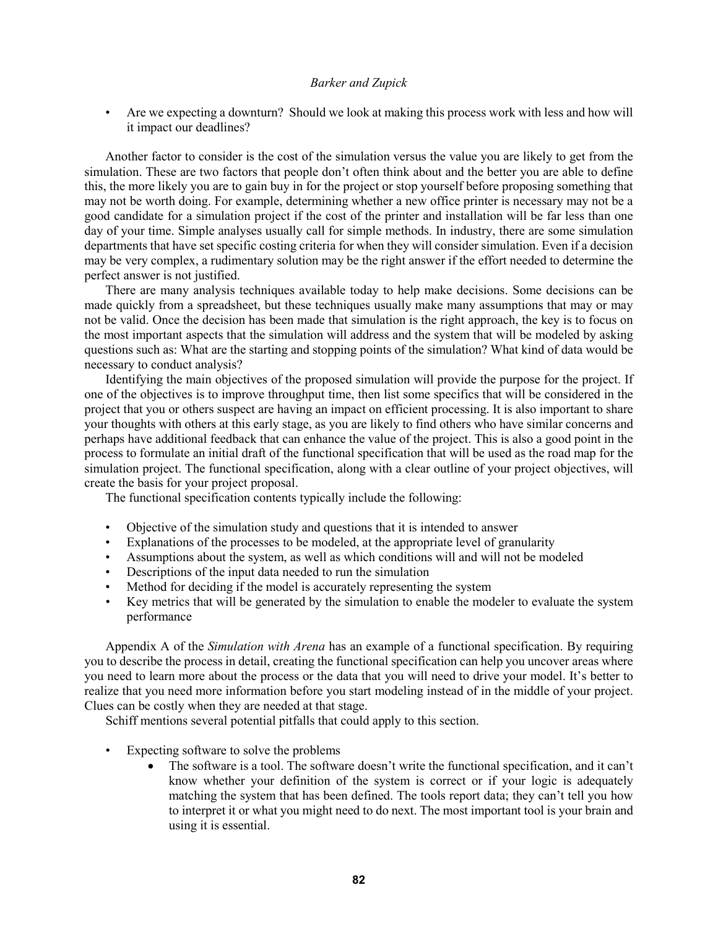• Are we expecting a downturn? Should we look at making this process work with less and how will it impact our deadlines?

Another factor to consider is the cost of the simulation versus the value you are likely to get from the simulation. These are two factors that people don't often think about and the better you are able to define this, the more likely you are to gain buy in for the project or stop yourself before proposing something that may not be worth doing. For example, determining whether a new office printer is necessary may not be a good candidate for a simulation project if the cost of the printer and installation will be far less than one day of your time. Simple analyses usually call for simple methods. In industry, there are some simulation departments that have set specific costing criteria for when they will consider simulation. Even if a decision may be very complex, a rudimentary solution may be the right answer if the effort needed to determine the perfect answer is not justified.

There are many analysis techniques available today to help make decisions. Some decisions can be made quickly from a spreadsheet, but these techniques usually make many assumptions that may or may not be valid. Once the decision has been made that simulation is the right approach, the key is to focus on the most important aspects that the simulation will address and the system that will be modeled by asking questions such as: What are the starting and stopping points of the simulation? What kind of data would be necessary to conduct analysis?

Identifying the main objectives of the proposed simulation will provide the purpose for the project. If one of the objectives is to improve throughput time, then list some specifics that will be considered in the project that you or others suspect are having an impact on efficient processing. It is also important to share your thoughts with others at this early stage, as you are likely to find others who have similar concerns and perhaps have additional feedback that can enhance the value of the project. This is also a good point in the process to formulate an initial draft of the functional specification that will be used as the road map for the simulation project. The functional specification, along with a clear outline of your project objectives, will create the basis for your project proposal.

The functional specification contents typically include the following:

- Objective of the simulation study and questions that it is intended to answer
- Explanations of the processes to be modeled, at the appropriate level of granularity
- Assumptions about the system, as well as which conditions will and will not be modeled
- Descriptions of the input data needed to run the simulation
- Method for deciding if the model is accurately representing the system
- Key metrics that will be generated by the simulation to enable the modeler to evaluate the system performance

Appendix A of the *Simulation with Arena* has an example of a functional specification. By requiring you to describe the process in detail, creating the functional specification can help you uncover areas where you need to learn more about the process or the data that you will need to drive your model. It's better to realize that you need more information before you start modeling instead of in the middle of your project. Clues can be costly when they are needed at that stage.

Schiff mentions several potential pitfalls that could apply to this section.

- Expecting software to solve the problems
	- The software is a tool. The software doesn't write the functional specification, and it can't know whether your definition of the system is correct or if your logic is adequately matching the system that has been defined. The tools report data; they can't tell you how to interpret it or what you might need to do next. The most important tool is your brain and using it is essential.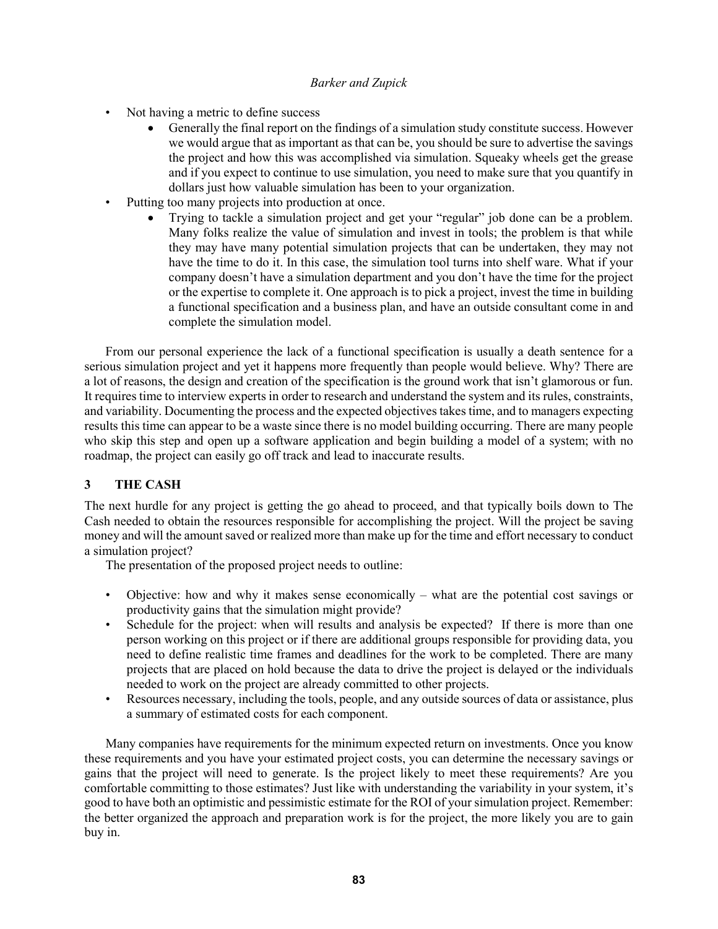- Not having a metric to define success
	- Generally the final report on the findings of a simulation study constitute success. However we would argue that as important as that can be, you should be sure to advertise the savings the project and how this was accomplished via simulation. Squeaky wheels get the grease and if you expect to continue to use simulation, you need to make sure that you quantify in dollars just how valuable simulation has been to your organization.
- Putting too many projects into production at once.
	- Trying to tackle a simulation project and get your "regular" job done can be a problem. Many folks realize the value of simulation and invest in tools; the problem is that while they may have many potential simulation projects that can be undertaken, they may not have the time to do it. In this case, the simulation tool turns into shelf ware. What if your company doesn't have a simulation department and you don't have the time for the project or the expertise to complete it. One approach is to pick a project, invest the time in building a functional specification and a business plan, and have an outside consultant come in and complete the simulation model.

From our personal experience the lack of a functional specification is usually a death sentence for a serious simulation project and yet it happens more frequently than people would believe. Why? There are a lot of reasons, the design and creation of the specification is the ground work that isn't glamorous or fun. It requires time to interview experts in order to research and understand the system and its rules, constraints, and variability. Documenting the process and the expected objectives takes time, and to managers expecting results this time can appear to be a waste since there is no model building occurring. There are many people who skip this step and open up a software application and begin building a model of a system; with no roadmap, the project can easily go off track and lead to inaccurate results.

# **3 THE CASH**

The next hurdle for any project is getting the go ahead to proceed, and that typically boils down to The Cash needed to obtain the resources responsible for accomplishing the project. Will the project be saving money and will the amount saved or realized more than make up for the time and effort necessary to conduct a simulation project?

The presentation of the proposed project needs to outline:

- Objective: how and why it makes sense economically what are the potential cost savings or productivity gains that the simulation might provide?
- Schedule for the project: when will results and analysis be expected? If there is more than one person working on this project or if there are additional groups responsible for providing data, you need to define realistic time frames and deadlines for the work to be completed. There are many projects that are placed on hold because the data to drive the project is delayed or the individuals needed to work on the project are already committed to other projects.
- Resources necessary, including the tools, people, and any outside sources of data or assistance, plus a summary of estimated costs for each component.

Many companies have requirements for the minimum expected return on investments. Once you know these requirements and you have your estimated project costs, you can determine the necessary savings or gains that the project will need to generate. Is the project likely to meet these requirements? Are you comfortable committing to those estimates? Just like with understanding the variability in your system, it's good to have both an optimistic and pessimistic estimate for the ROI of your simulation project. Remember: the better organized the approach and preparation work is for the project, the more likely you are to gain buy in.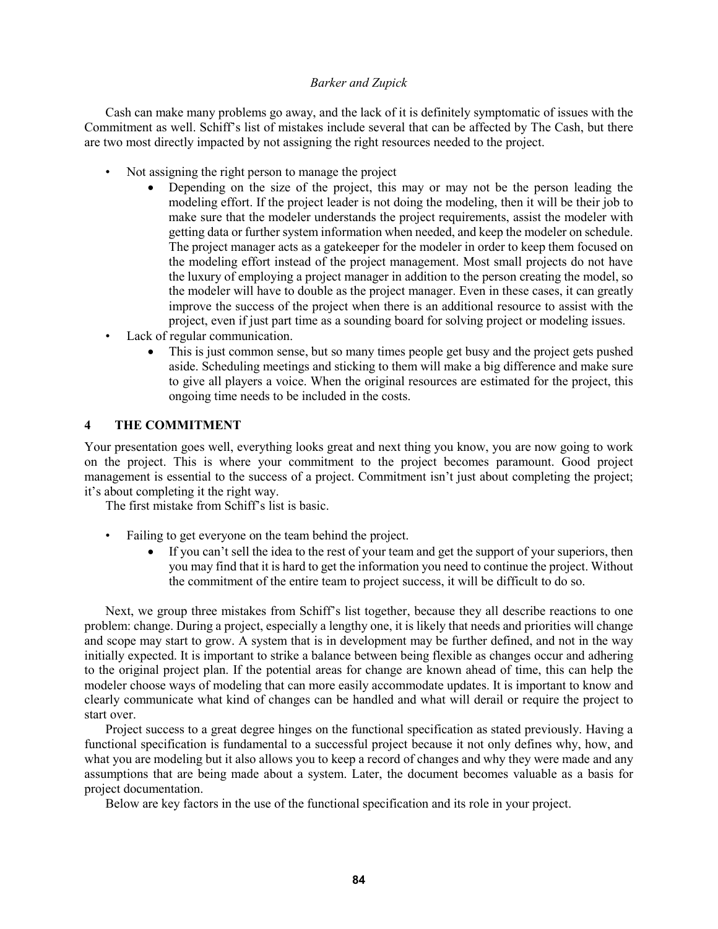Cash can make many problems go away, and the lack of it is definitely symptomatic of issues with the Commitment as well. Schiff's list of mistakes include several that can be affected by The Cash, but there are two most directly impacted by not assigning the right resources needed to the project.

- Not assigning the right person to manage the project
	- Depending on the size of the project, this may or may not be the person leading the modeling effort. If the project leader is not doing the modeling, then it will be their job to make sure that the modeler understands the project requirements, assist the modeler with getting data or further system information when needed, and keep the modeler on schedule. The project manager acts as a gatekeeper for the modeler in order to keep them focused on the modeling effort instead of the project management. Most small projects do not have the luxury of employing a project manager in addition to the person creating the model, so the modeler will have to double as the project manager. Even in these cases, it can greatly improve the success of the project when there is an additional resource to assist with the project, even if just part time as a sounding board for solving project or modeling issues.
- Lack of regular communication.
	- This is just common sense, but so many times people get busy and the project gets pushed aside. Scheduling meetings and sticking to them will make a big difference and make sure to give all players a voice. When the original resources are estimated for the project, this ongoing time needs to be included in the costs.

## **4 THE COMMITMENT**

Your presentation goes well, everything looks great and next thing you know, you are now going to work on the project. This is where your commitment to the project becomes paramount. Good project management is essential to the success of a project. Commitment isn't just about completing the project; it's about completing it the right way.

The first mistake from Schiff's list is basic.

- Failing to get everyone on the team behind the project.
	- If you can't sell the idea to the rest of your team and get the support of your superiors, then you may find that it is hard to get the information you need to continue the project. Without the commitment of the entire team to project success, it will be difficult to do so.

Next, we group three mistakes from Schiff's list together, because they all describe reactions to one problem: change. During a project, especially a lengthy one, it is likely that needs and priorities will change and scope may start to grow. A system that is in development may be further defined, and not in the way initially expected. It is important to strike a balance between being flexible as changes occur and adhering to the original project plan. If the potential areas for change are known ahead of time, this can help the modeler choose ways of modeling that can more easily accommodate updates. It is important to know and clearly communicate what kind of changes can be handled and what will derail or require the project to start over.

Project success to a great degree hinges on the functional specification as stated previously. Having a functional specification is fundamental to a successful project because it not only defines why, how, and what you are modeling but it also allows you to keep a record of changes and why they were made and any assumptions that are being made about a system. Later, the document becomes valuable as a basis for project documentation.

Below are key factors in the use of the functional specification and its role in your project.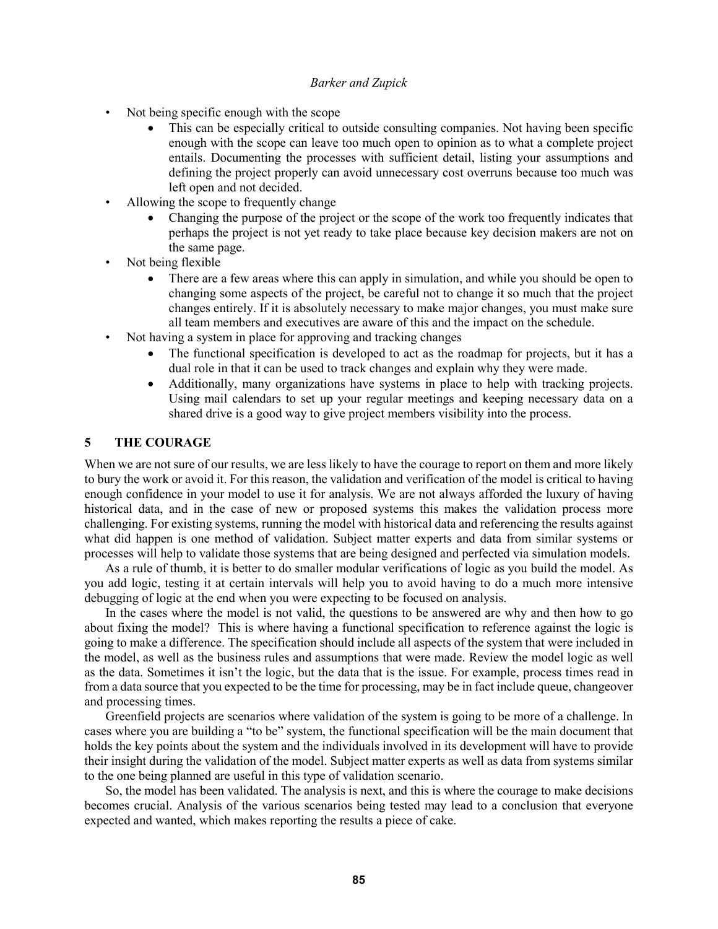- Not being specific enough with the scope
	- This can be especially critical to outside consulting companies. Not having been specific enough with the scope can leave too much open to opinion as to what a complete project entails. Documenting the processes with sufficient detail, listing your assumptions and defining the project properly can avoid unnecessary cost overruns because too much was left open and not decided.
- Allowing the scope to frequently change
	- Changing the purpose of the project or the scope of the work too frequently indicates that perhaps the project is not yet ready to take place because key decision makers are not on the same page.
- Not being flexible
	- There are a few areas where this can apply in simulation, and while you should be open to changing some aspects of the project, be careful not to change it so much that the project changes entirely. If it is absolutely necessary to make major changes, you must make sure all team members and executives are aware of this and the impact on the schedule.
- Not having a system in place for approving and tracking changes
	- The functional specification is developed to act as the roadmap for projects, but it has a dual role in that it can be used to track changes and explain why they were made.
	- Additionally, many organizations have systems in place to help with tracking projects. Using mail calendars to set up your regular meetings and keeping necessary data on a shared drive is a good way to give project members visibility into the process.

# **5 THE COURAGE**

When we are not sure of our results, we are less likely to have the courage to report on them and more likely to bury the work or avoid it. For this reason, the validation and verification of the model is critical to having enough confidence in your model to use it for analysis. We are not always afforded the luxury of having historical data, and in the case of new or proposed systems this makes the validation process more challenging. For existing systems, running the model with historical data and referencing the results against what did happen is one method of validation. Subject matter experts and data from similar systems or processes will help to validate those systems that are being designed and perfected via simulation models.

As a rule of thumb, it is better to do smaller modular verifications of logic as you build the model. As you add logic, testing it at certain intervals will help you to avoid having to do a much more intensive debugging of logic at the end when you were expecting to be focused on analysis.

In the cases where the model is not valid, the questions to be answered are why and then how to go about fixing the model? This is where having a functional specification to reference against the logic is going to make a difference. The specification should include all aspects of the system that were included in the model, as well as the business rules and assumptions that were made. Review the model logic as well as the data. Sometimes it isn't the logic, but the data that is the issue. For example, process times read in from a data source that you expected to be the time for processing, may be in fact include queue, changeover and processing times.

Greenfield projects are scenarios where validation of the system is going to be more of a challenge. In cases where you are building a "to be" system, the functional specification will be the main document that holds the key points about the system and the individuals involved in its development will have to provide their insight during the validation of the model. Subject matter experts as well as data from systems similar to the one being planned are useful in this type of validation scenario.

So, the model has been validated. The analysis is next, and this is where the courage to make decisions becomes crucial. Analysis of the various scenarios being tested may lead to a conclusion that everyone expected and wanted, which makes reporting the results a piece of cake.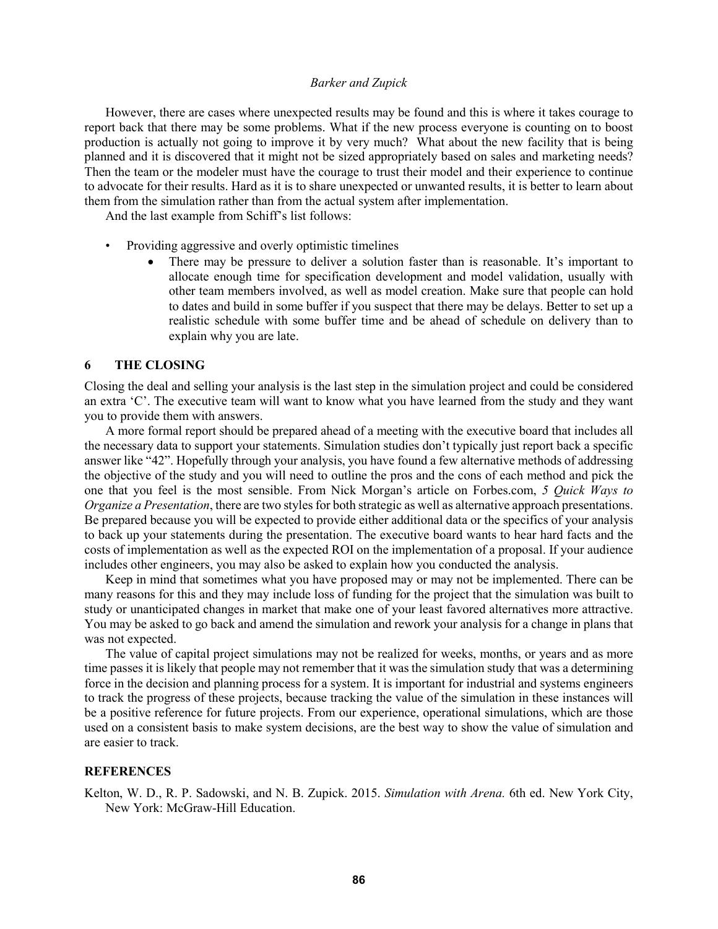However, there are cases where unexpected results may be found and this is where it takes courage to report back that there may be some problems. What if the new process everyone is counting on to boost production is actually not going to improve it by very much? What about the new facility that is being planned and it is discovered that it might not be sized appropriately based on sales and marketing needs? Then the team or the modeler must have the courage to trust their model and their experience to continue to advocate for their results. Hard as it is to share unexpected or unwanted results, it is better to learn about them from the simulation rather than from the actual system after implementation.

And the last example from Schiff's list follows:

- Providing aggressive and overly optimistic timelines
	- There may be pressure to deliver a solution faster than is reasonable. It's important to allocate enough time for specification development and model validation, usually with other team members involved, as well as model creation. Make sure that people can hold to dates and build in some buffer if you suspect that there may be delays. Better to set up a realistic schedule with some buffer time and be ahead of schedule on delivery than to explain why you are late.

#### **6 THE CLOSING**

Closing the deal and selling your analysis is the last step in the simulation project and could be considered an extra 'C'. The executive team will want to know what you have learned from the study and they want you to provide them with answers.

A more formal report should be prepared ahead of a meeting with the executive board that includes all the necessary data to support your statements. Simulation studies don't typically just report back a specific answer like "42". Hopefully through your analysis, you have found a few alternative methods of addressing the objective of the study and you will need to outline the pros and the cons of each method and pick the one that you feel is the most sensible. From Nick Morgan's article on Forbes.com, *5 Quick Ways to Organize a Presentation*, there are two styles for both strategic as well as alternative approach presentations. Be prepared because you will be expected to provide either additional data or the specifics of your analysis to back up your statements during the presentation. The executive board wants to hear hard facts and the costs of implementation as well as the expected ROI on the implementation of a proposal. If your audience includes other engineers, you may also be asked to explain how you conducted the analysis.

Keep in mind that sometimes what you have proposed may or may not be implemented. There can be many reasons for this and they may include loss of funding for the project that the simulation was built to study or unanticipated changes in market that make one of your least favored alternatives more attractive. You may be asked to go back and amend the simulation and rework your analysis for a change in plans that was not expected.

The value of capital project simulations may not be realized for weeks, months, or years and as more time passes it is likely that people may not remember that it was the simulation study that was a determining force in the decision and planning process for a system. It is important for industrial and systems engineers to track the progress of these projects, because tracking the value of the simulation in these instances will be a positive reference for future projects. From our experience, operational simulations, which are those used on a consistent basis to make system decisions, are the best way to show the value of simulation and are easier to track.

#### **REFERENCES**

Kelton, W. D., R. P. Sadowski, and N. B. Zupick. 2015. *Simulation with Arena.* 6th ed. New York City, New York: McGraw-Hill Education.